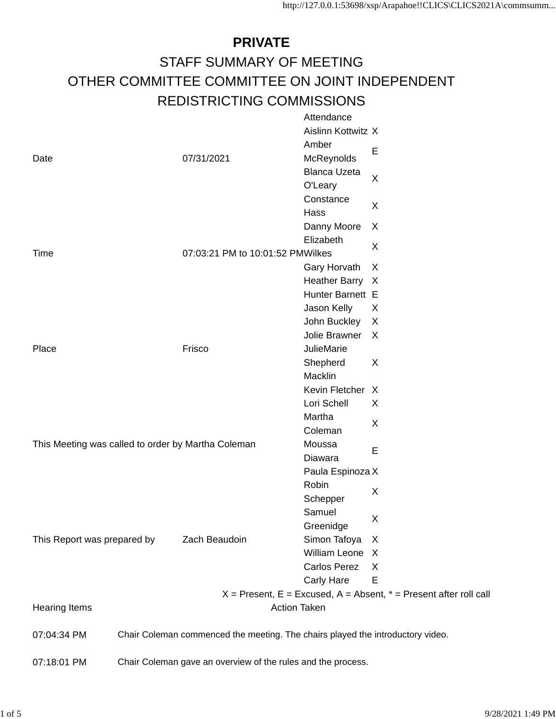## **PRIVATE** STAFF SUMMARY OF MEETING OTHER COMMITTEE COMMITTEE ON JOINT INDEPENDENT REDISTRICTING COMMISSIONS **Attendance**

|                                                    |                                                              |                                                                                | , ,,,,,,,,,,,,,,     |                                                                           |
|----------------------------------------------------|--------------------------------------------------------------|--------------------------------------------------------------------------------|----------------------|---------------------------------------------------------------------------|
|                                                    |                                                              |                                                                                | Aislinn Kottwitz X   |                                                                           |
|                                                    |                                                              |                                                                                | Amber                | Е                                                                         |
| Date                                               |                                                              | 07/31/2021                                                                     | McReynolds           |                                                                           |
|                                                    |                                                              |                                                                                | <b>Blanca Uzeta</b>  | $\times$                                                                  |
|                                                    |                                                              |                                                                                | O'Leary              |                                                                           |
|                                                    |                                                              |                                                                                | Constance            | Χ                                                                         |
|                                                    |                                                              |                                                                                | Hass                 |                                                                           |
|                                                    |                                                              |                                                                                | Danny Moore          | X                                                                         |
|                                                    |                                                              |                                                                                | Elizabeth            | $\times$                                                                  |
| Time                                               |                                                              | 07:03:21 PM to 10:01:52 PMWilkes                                               |                      |                                                                           |
|                                                    |                                                              |                                                                                | Gary Horvath         | X                                                                         |
|                                                    |                                                              |                                                                                | <b>Heather Barry</b> | X                                                                         |
|                                                    |                                                              |                                                                                | Hunter Barnett E     |                                                                           |
|                                                    |                                                              |                                                                                | Jason Kelly          | X                                                                         |
|                                                    |                                                              |                                                                                | John Buckley         | X                                                                         |
|                                                    |                                                              |                                                                                | Jolie Brawner        | X                                                                         |
| Place                                              |                                                              | Frisco                                                                         | JulieMarie           |                                                                           |
|                                                    |                                                              |                                                                                | Shepherd             | X                                                                         |
|                                                    |                                                              |                                                                                | Macklin              |                                                                           |
|                                                    |                                                              |                                                                                | Kevin Fletcher X     |                                                                           |
|                                                    |                                                              |                                                                                | Lori Schell          | X                                                                         |
|                                                    |                                                              |                                                                                | Martha               | X                                                                         |
|                                                    |                                                              |                                                                                | Coleman              |                                                                           |
| This Meeting was called to order by Martha Coleman |                                                              |                                                                                | Moussa               | Ε                                                                         |
|                                                    |                                                              |                                                                                | Diawara              |                                                                           |
|                                                    |                                                              |                                                                                | Paula Espinoza X     |                                                                           |
|                                                    |                                                              |                                                                                | Robin                | X                                                                         |
|                                                    |                                                              |                                                                                | Schepper             |                                                                           |
|                                                    |                                                              |                                                                                | Samuel               | X                                                                         |
|                                                    |                                                              |                                                                                | Greenidge            |                                                                           |
| This Report was prepared by                        |                                                              | Zach Beaudoin                                                                  | Simon Tafoya         | X                                                                         |
|                                                    |                                                              |                                                                                | William Leone X      |                                                                           |
|                                                    |                                                              |                                                                                | Carlos Perez         | X                                                                         |
|                                                    |                                                              |                                                                                | Carly Hare           | Ε                                                                         |
|                                                    |                                                              |                                                                                |                      | $X =$ Present, $E =$ Excused, $A =$ Absent, $* =$ Present after roll call |
| <b>Hearing Items</b>                               |                                                              |                                                                                | <b>Action Taken</b>  |                                                                           |
| 07:04:34 PM                                        |                                                              | Chair Coleman commenced the meeting. The chairs played the introductory video. |                      |                                                                           |
| 07:18:01 PM                                        | Chair Coleman gave an overview of the rules and the process. |                                                                                |                      |                                                                           |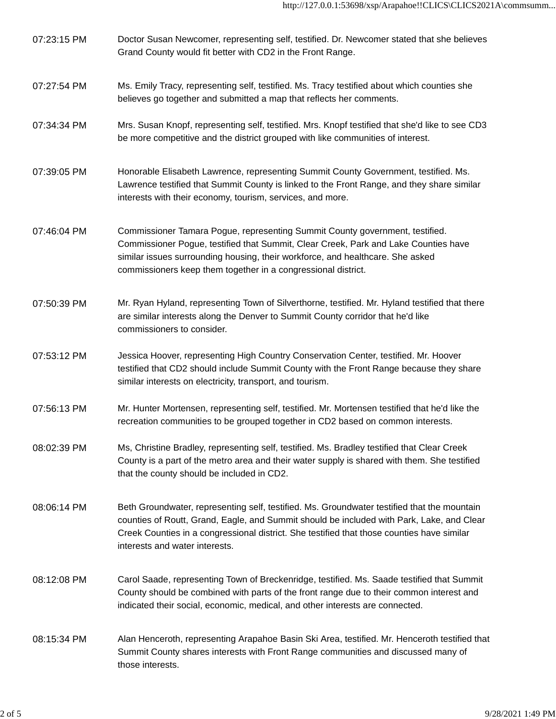- 07:23:15 PM Doctor Susan Newcomer, representing self, testified. Dr. Newcomer stated that she believes Grand County would fit better with CD2 in the Front Range.
- 07:27:54 PM Ms. Emily Tracy, representing self, testified. Ms. Tracy testified about which counties she believes go together and submitted a map that reflects her comments.
- 07:34:34 PM Mrs. Susan Knopf, representing self, testified. Mrs. Knopf testified that she'd like to see CD3 be more competitive and the district grouped with like communities of interest.
- 07:39:05 PM Honorable Elisabeth Lawrence, representing Summit County Government, testified. Ms. Lawrence testified that Summit County is linked to the Front Range, and they share similar interests with their economy, tourism, services, and more.
- 07:46:04 PM Commissioner Tamara Pogue, representing Summit County government, testified. Commissioner Pogue, testified that Summit, Clear Creek, Park and Lake Counties have similar issues surrounding housing, their workforce, and healthcare. She asked commissioners keep them together in a congressional district.
- 07:50:39 PM Mr. Ryan Hyland, representing Town of Silverthorne, testified. Mr. Hyland testified that there are similar interests along the Denver to Summit County corridor that he'd like commissioners to consider.
- 07:53:12 PM Jessica Hoover, representing High Country Conservation Center, testified. Mr. Hoover testified that CD2 should include Summit County with the Front Range because they share similar interests on electricity, transport, and tourism.
- 07:56:13 PM Mr. Hunter Mortensen, representing self, testified. Mr. Mortensen testified that he'd like the recreation communities to be grouped together in CD2 based on common interests.
- 08:02:39 PM Ms, Christine Bradley, representing self, testified. Ms. Bradley testified that Clear Creek County is a part of the metro area and their water supply is shared with them. She testified that the county should be included in CD2.
- 08:06:14 PM Beth Groundwater, representing self, testified. Ms. Groundwater testified that the mountain counties of Routt, Grand, Eagle, and Summit should be included with Park, Lake, and Clear Creek Counties in a congressional district. She testified that those counties have similar interests and water interests.
- 08:12:08 PM Carol Saade, representing Town of Breckenridge, testified. Ms. Saade testified that Summit County should be combined with parts of the front range due to their common interest and indicated their social, economic, medical, and other interests are connected.
- 08:15:34 PM Alan Henceroth, representing Arapahoe Basin Ski Area, testified. Mr. Henceroth testified that Summit County shares interests with Front Range communities and discussed many of those interests.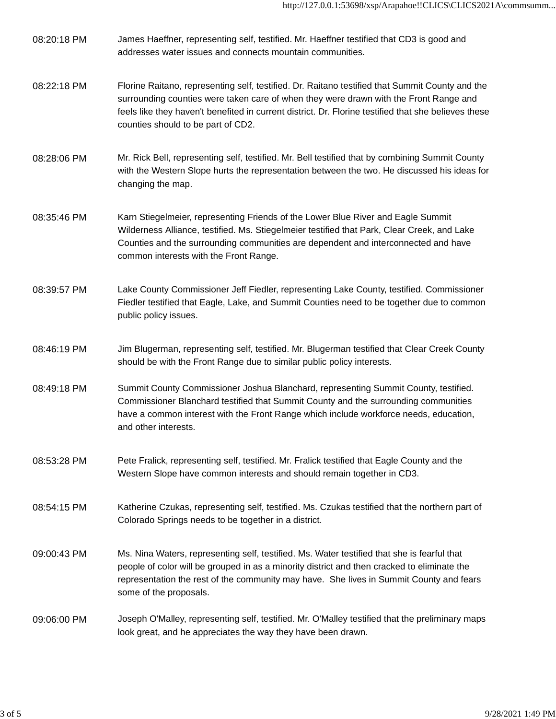- 08:20:18 PM James Haeffner, representing self, testified. Mr. Haeffner testified that CD3 is good and addresses water issues and connects mountain communities.
- 08:22:18 PM Florine Raitano, representing self, testified. Dr. Raitano testified that Summit County and the surrounding counties were taken care of when they were drawn with the Front Range and feels like they haven't benefited in current district. Dr. Florine testified that she believes these counties should to be part of CD2.
- 08:28:06 PM Mr. Rick Bell, representing self, testified. Mr. Bell testified that by combining Summit County with the Western Slope hurts the representation between the two. He discussed his ideas for changing the map.
- 08:35:46 PM Karn Stiegelmeier, representing Friends of the Lower Blue River and Eagle Summit Wilderness Alliance, testified. Ms. Stiegelmeier testified that Park, Clear Creek, and Lake Counties and the surrounding communities are dependent and interconnected and have common interests with the Front Range.
- 08:39:57 PM Lake County Commissioner Jeff Fiedler, representing Lake County, testified. Commissioner Fiedler testified that Eagle, Lake, and Summit Counties need to be together due to common public policy issues.
- 08:46:19 PM Jim Blugerman, representing self, testified. Mr. Blugerman testified that Clear Creek County should be with the Front Range due to similar public policy interests.
- 08:49:18 PM Summit County Commissioner Joshua Blanchard, representing Summit County, testified. Commissioner Blanchard testified that Summit County and the surrounding communities have a common interest with the Front Range which include workforce needs, education, and other interests.
- 08:53:28 PM Pete Fralick, representing self, testified. Mr. Fralick testified that Eagle County and the Western Slope have common interests and should remain together in CD3.
- 08:54:15 PM Katherine Czukas, representing self, testified. Ms. Czukas testified that the northern part of Colorado Springs needs to be together in a district.
- 09:00:43 PM Ms. Nina Waters, representing self, testified. Ms. Water testified that she is fearful that people of color will be grouped in as a minority district and then cracked to eliminate the representation the rest of the community may have. She lives in Summit County and fears some of the proposals.
- 09:06:00 PM Joseph O'Malley, representing self, testified. Mr. O'Malley testified that the preliminary maps look great, and he appreciates the way they have been drawn.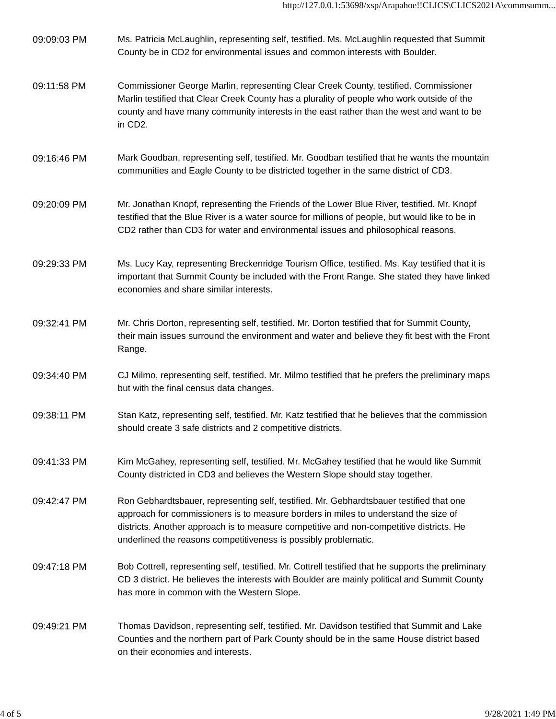| 09:09:03 PM | Ms. Patricia McLaughlin, representing self, testified. Ms. McLaughlin requested that Summit<br>County be in CD2 for environmental issues and common interests with Boulder.                                                                                                                                                                  |
|-------------|----------------------------------------------------------------------------------------------------------------------------------------------------------------------------------------------------------------------------------------------------------------------------------------------------------------------------------------------|
| 09:11:58 PM | Commissioner George Marlin, representing Clear Creek County, testified. Commissioner<br>Marlin testified that Clear Creek County has a plurality of people who work outside of the<br>county and have many community interests in the east rather than the west and want to be<br>in CD2.                                                    |
| 09:16:46 PM | Mark Goodban, representing self, testified. Mr. Goodban testified that he wants the mountain<br>communities and Eagle County to be districted together in the same district of CD3.                                                                                                                                                          |
| 09:20:09 PM | Mr. Jonathan Knopf, representing the Friends of the Lower Blue River, testified. Mr. Knopf<br>testified that the Blue River is a water source for millions of people, but would like to be in<br>CD2 rather than CD3 for water and environmental issues and philosophical reasons.                                                           |
| 09:29:33 PM | Ms. Lucy Kay, representing Breckenridge Tourism Office, testified. Ms. Kay testified that it is<br>important that Summit County be included with the Front Range. She stated they have linked<br>economies and share similar interests.                                                                                                      |
| 09:32:41 PM | Mr. Chris Dorton, representing self, testified. Mr. Dorton testified that for Summit County,<br>their main issues surround the environment and water and believe they fit best with the Front<br>Range.                                                                                                                                      |
| 09:34:40 PM | CJ Milmo, representing self, testified. Mr. Milmo testified that he prefers the preliminary maps<br>but with the final census data changes.                                                                                                                                                                                                  |
| 09:38:11 PM | Stan Katz, representing self, testified. Mr. Katz testified that he believes that the commission<br>should create 3 safe districts and 2 competitive districts.                                                                                                                                                                              |
| 09:41:33 PM | Kim McGahey, representing self, testified. Mr. McGahey testified that he would like Summit<br>County districted in CD3 and believes the Western Slope should stay together.                                                                                                                                                                  |
| 09:42:47 PM | Ron Gebhardtsbauer, representing self, testified. Mr. Gebhardtsbauer testified that one<br>approach for commissioners is to measure borders in miles to understand the size of<br>districts. Another approach is to measure competitive and non-competitive districts. He<br>underlined the reasons competitiveness is possibly problematic. |
| 09:47:18 PM | Bob Cottrell, representing self, testified. Mr. Cottrell testified that he supports the preliminary<br>CD 3 district. He believes the interests with Boulder are mainly political and Summit County<br>has more in common with the Western Slope.                                                                                            |
| 09:49:21 PM | Thomas Davidson, representing self, testified. Mr. Davidson testified that Summit and Lake<br>Counties and the northern part of Park County should be in the same House district based<br>on their economies and interests.                                                                                                                  |